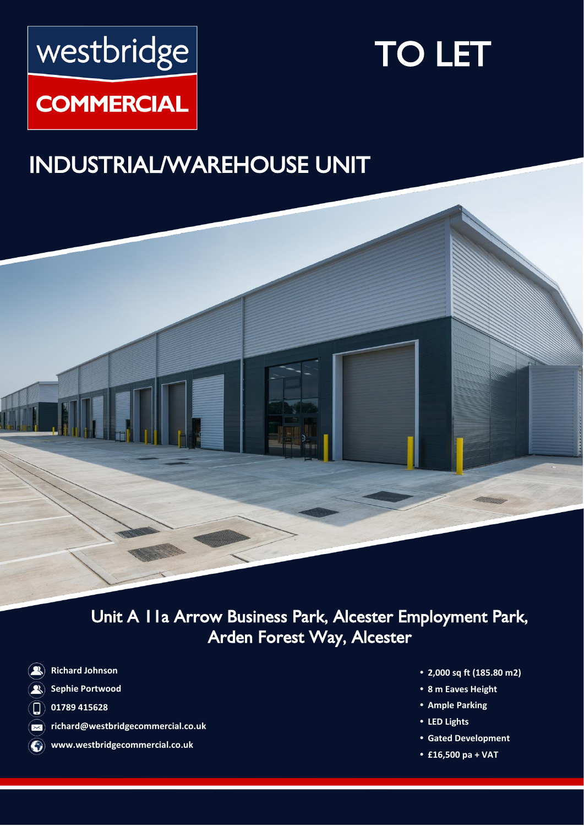# westbridge

# TO LET

# **COMMERCIAL**

# INDUSTRIAL/WAREHOUSE UNIT



Unit A 11a Arrow Business Park, Alcester Employment Park, Arden Forest Way, Alcester

- **Richard Johnson**  $\left( \mathbf{R}\right)$
- **Sephie Portwood**   $\mathbf{R}$
- **01789 415628**  $\left(\square\right)$
- **richard@westbridgecommercial.co.uk**  $\infty$
- **www.westbridgecommercial.co.uk**
- **• 2,000 sq ft (185.80 m2)**
- **• 8 m Eaves Height**
- **• Ample Parking**
- **• LED Lights**
- **• Gated Development**
- **• £16,500 pa + VAT**